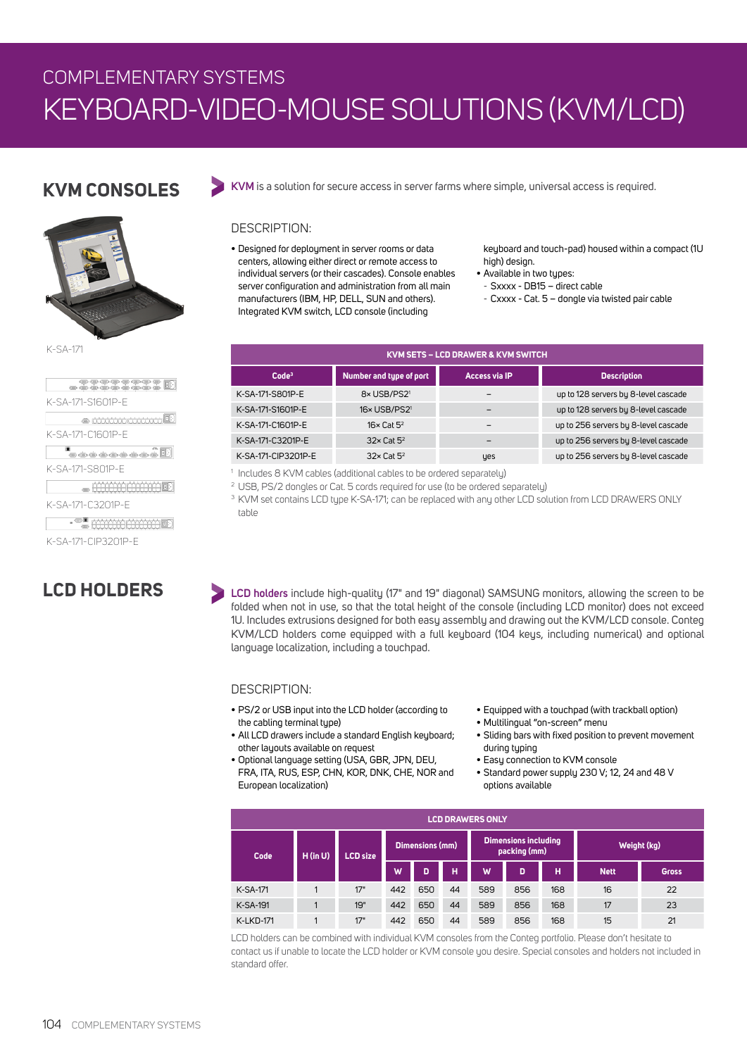# COMPLEMENTARY SYSTEMS KEYBOARD-VIDEO-MOUSE SOLUTIONS (KVM/LCD)

### **KVM CONSOLES**



K-SA-171

| <b>Breeco</b>              |
|----------------------------|
| K-SA-171-S1601P-F          |
| & <del>Matatabatan E</del> |
| K-SA-171-C1601P-F          |
| -------- <del>-</del>      |
| K-SA-171-S801P-F           |
|                            |
| K-SA-171-C3201P-F          |
| EE COOCCOOL                |
| K-SA-171-CIP3201P-F        |

## **LCD HOLDERS**

**KVM** is a solution for secure access in server farms where simple, universal access is required.

#### DESCRIPTION:

• Designed for deployment in server rooms or data centers, allowing either direct or remote access to individual servers (or their cascades). Console enables server configuration and administration from all main manufacturers (IBM, HP, DELL, SUN and others). Integrated KVM switch, LCD console (including

keyboard and touch-pad) housed within a compact (1U high) design.

- Available in two types:
- Sxxxx DB15 direct cable
- Cxxxx Cat. 5 dongle via twisted pair cable

| <b>KVM SETS - LCD DRAWER &amp; KVM SWITCH</b> |                          |                      |                                      |  |  |  |  |  |  |  |
|-----------------------------------------------|--------------------------|----------------------|--------------------------------------|--|--|--|--|--|--|--|
| Code <sup>3</sup>                             | Number and type of port  | <b>Access via IP</b> | <b>Description</b>                   |  |  |  |  |  |  |  |
| K-SA-171-S801P-E                              | 8× USB/PS21              |                      | up to 128 servers by 8-level cascade |  |  |  |  |  |  |  |
| K-SA-171-S1601P-E                             | 16x USB/PS2 <sup>1</sup> | -                    | up to 128 servers by 8-level cascade |  |  |  |  |  |  |  |
| K-SA-171-C1601P-E                             | $16 \times$ Cat $5^2$    |                      | up to 256 servers by 8-level cascade |  |  |  |  |  |  |  |
| K-SA-171-C3201P-E                             | $32 \times$ Cat $5^2$    |                      | up to 256 servers by 8-level cascade |  |  |  |  |  |  |  |
| K-SA-171-CIP3201P-E                           | $32 \times$ Cat $5^2$    | yes                  | up to 256 servers by 8-level cascade |  |  |  |  |  |  |  |

1 Includes 8 KVM cables (additional cables to be ordered separately)

2 USB, PS/2 dongles or Cat. 5 cords required for use (to be ordered separately)

<sup>3</sup> KVM set contains LCD type K-SA-171; can be replaced with any other LCD solution from LCD DRAWERS ONLY table

**LCD holders** include high-quality (17" and 19" diagonal) SAMSUNG monitors, allowing the screen to be folded when not in use, so that the total height of the console (including LCD monitor) does not exceed 1U. Includes extrusions designed for both easy assembly and drawing out the KVM/LCD console. Conteg KVM/LCD holders come equipped with a full keyboard (104 keys, including numerical) and optional language localization, including a touchpad.

#### DESCRIPTION:

- PS/2 or USB input into the LCD holder (according to the cabling terminal tupe)
- All LCD drawers include a standard English keyboard; other layouts available on request
- Optional language setting (USA, GBR, JPN, DEU, FRA, ITA, RUS, ESP, CHN, KOR, DNK, CHE, NOR and European localization)
- Equipped with a touchpad (with trackball option)
- Multilingual "on-screen" menu
- Sliding bars with fixed position to prevent movement during typing
- Easy connection to KVM console
- Standard power supply 230 V; 12, 24 and 48 V options available

| <b>LCD DRAWERS ONLY</b> |            |                 |                 |     |                                             |     |     |             |             |              |
|-------------------------|------------|-----------------|-----------------|-----|---------------------------------------------|-----|-----|-------------|-------------|--------------|
| Code                    | $H$ (in U) | <b>LCD size</b> | Dimensions (mm) |     | <b>Dimensions including</b><br>packing (mm) |     |     | Weight (kg) |             |              |
|                         |            |                 | W               | D   | н                                           | W   | D   | н           | <b>Nett</b> | <b>Gross</b> |
| K-SA-171                |            | 17"             | 442             | 650 | 44                                          | 589 | 856 | 168         | 16          | 22           |
| <b>K-SA-191</b>         |            | 19"             | 442             | 650 | 44                                          | 589 | 856 | 168         | 17          | 23           |
| <b>K-LKD-171</b>        |            | 17"             | 442             | 650 | 44                                          | 589 | 856 | 168         | 15          | 21           |

LCD holders can be combined with individual KVM consoles from the Conteg portfolio. Please don't hesitate to contact us if unable to locate the LCD holder or KVM console you desire. Special consoles and holders not included in standard offer.